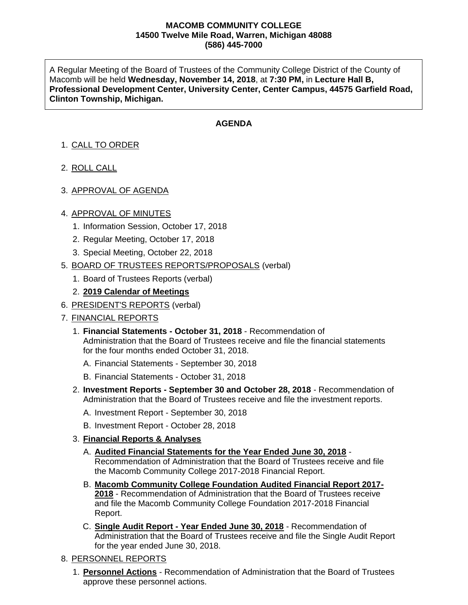## **MACOMB COMMUNITY COLLEGE 14500 Twelve Mile Road, Warren, Michigan 48088 (586) 445-7000**

A Regular Meeting of the Board of Trustees of the Community College District of the County of Macomb will be held **Wednesday, November 14, 2018**, at **7:30 PM,** in **Lecture Hall B, Professional Development Center, University Center, Center Campus, 44575 Garfield Road, Clinton Township, Michigan.**

## **AGENDA**

- 1. CALL TO ORDER
- 2. ROLL CALL
- 3. APPROVAL OF AGENDA

## 4. APPROVAL OF MINUTES

- 1. Information Session, October 17, 2018
- 2. Regular Meeting, October 17, 2018
- 3. Special Meeting, October 22, 2018
- 5. BOARD OF TRUSTEES REPORTS/PROPOSALS (verbal)
	- 1. Board of Trustees Reports (verbal)
	- 2. **2019 Calendar of Meetings**
- 6. PRESIDENT'S REPORTS (verbal)
- 7. FINANCIAL REPORTS
	- 1. **Financial Statements - October 31, 2018** Recommendation of Administration that the Board of Trustees receive and file the financial statements for the four months ended October 31, 2018.
		- A. Financial Statements September 30, 2018
		- B. Financial Statements October 31, 2018
	- 2. **Investment Reports - September 30 and October 28, 2018** Recommendation of Administration that the Board of Trustees receive and file the investment reports.
		- A. Investment Report September 30, 2018
		- B. Investment Report October 28, 2018
	- 3. **Financial Reports & Analyses**
		- A. **Audited Financial Statements for the Year Ended June 30, 2018** Recommendation of Administration that the Board of Trustees receive and file the Macomb Community College 2017-2018 Financial Report.
		- B. **Macomb Community College Foundation Audited Financial Report 2017- 2018** - Recommendation of Administration that the Board of Trustees receive and file the Macomb Community College Foundation 2017-2018 Financial Report.
		- C. **Single Audit Report - Year Ended June 30, 2018** Recommendation of Administration that the Board of Trustees receive and file the Single Audit Report for the year ended June 30, 2018.
- 8. PERSONNEL REPORTS
	- 1. **Personnel Actions** Recommendation of Administration that the Board of Trustees approve these personnel actions.